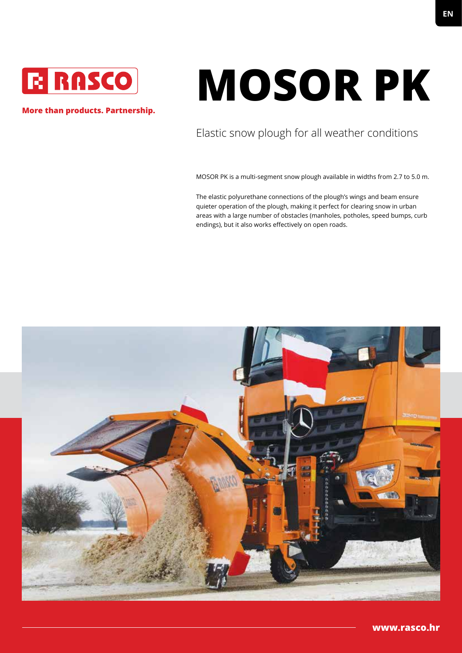

#### **More than products. Partnership.**

# **MOSOR PK**

Elastic snow plough for all weather conditions

MOSOR PK is a multi-segment snow plough available in widths from 2.7 to 5.0 m.

The elastic polyurethane connections of the plough's wings and beam ensure quieter operation of the plough, making it perfect for clearing snow in urban areas with a large number of obstacles (manholes, potholes, speed bumps, curb endings), but it also works effectively on open roads.

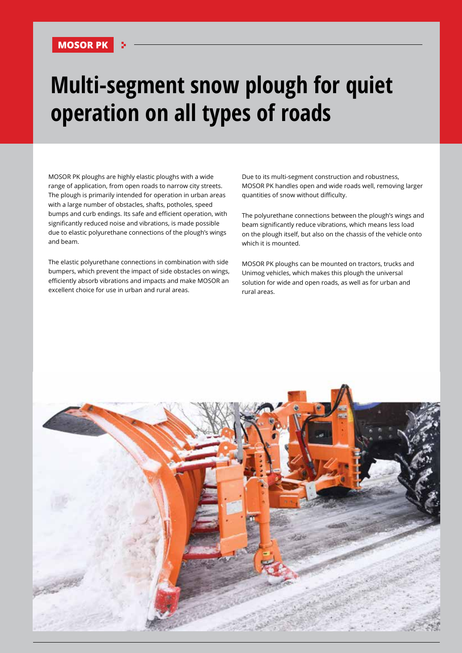## **MOSOR PI**

## **Multi-segment snow plough for quiet operation on all types of roads**

MOSOR PK ploughs are highly elastic ploughs with a wide range of application, from open roads to narrow city streets. The plough is primarily intended for operation in urban areas with a large number of obstacles, shafts, potholes, speed bumps and curb endings. Its safe and efficient operation, with significantly reduced noise and vibrations, is made possible due to elastic polyurethane connections of the plough's wings and beam.

The elastic polyurethane connections in combination with side bumpers, which prevent the impact of side obstacles on wings, efficiently absorb vibrations and impacts and make MOSOR an excellent choice for use in urban and rural areas.

Due to its multi-segment construction and robustness, MOSOR PK handles open and wide roads well, removing larger quantities of snow without difficulty.

The polyurethane connections between the plough's wings and beam significantly reduce vibrations, which means less load on the plough itself, but also on the chassis of the vehicle onto which it is mounted.

MOSOR PK ploughs can be mounted on tractors, trucks and Unimog vehicles, which makes this plough the universal solution for wide and open roads, as well as for urban and rural areas.

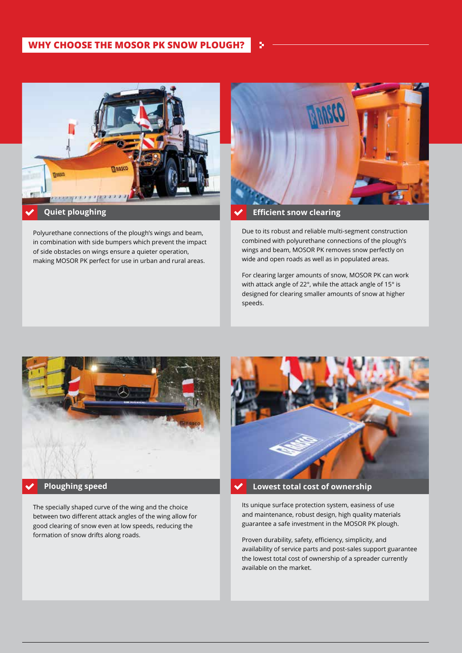## **WHY CHOOSE THE MOSOR PK SNOW PLOUGH?**



Polyurethane connections of the plough's wings and beam, in combination with side bumpers which prevent the impact of side obstacles on wings ensure a quieter operation, making MOSOR PK perfect for use in urban and rural areas.



**Efficient snow clearing**

Due to its robust and reliable multi-segment construction combined with polyurethane connections of the plough's wings and beam, MOSOR PK removes snow perfectly on wide and open roads as well as in populated areas.

For clearing larger amounts of snow, MOSOR PK can work with attack angle of 22°, while the attack angle of 15° is designed for clearing smaller amounts of snow at higher speeds.



#### **Ploughing speed**

The specially shaped curve of the wing and the choice between two different attack angles of the wing allow for good clearing of snow even at low speeds, reducing the formation of snow drifts along roads.



**Lowest total cost of ownership**

Its unique surface protection system, easiness of use and maintenance, robust design, high quality materials guarantee a safe investment in the MOSOR PK plough.

Proven durability, safety, efficiency, simplicity, and availability of service parts and post-sales support guarantee the lowest total cost of ownership of a spreader currently available on the market.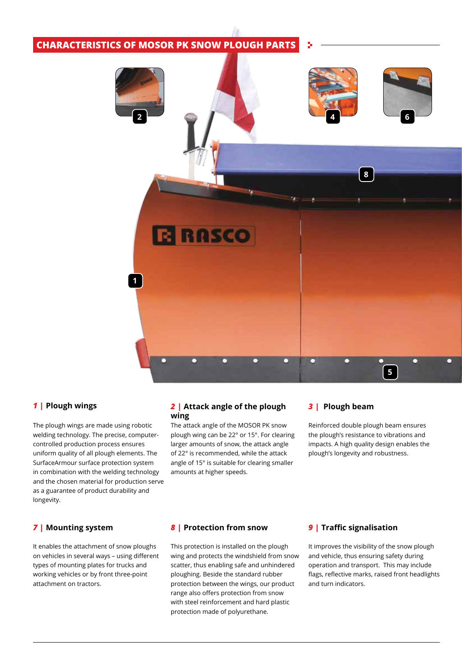#### **CHARACTERISTICS OF MOSOR PK SNOW PLOUGH PARTS**



The plough wings are made using robotic welding technology. The precise, computercontrolled production process ensures uniform quality of all plough elements. The SurfaceArmour surface protection system in combination with the welding technology and the chosen material for production serve as a guarantee of product durability and longevity.

It enables the attachment of snow ploughs on vehicles in several ways – using different types of mounting plates for trucks and working vehicles or by front three-point attachment on tractors.

#### *1 |* **Plough wings** *2 |* **Attack angle of the plough wing**

The attack angle of the MOSOR PK snow plough wing can be 22° or 15°. For clearing larger amounts of snow, the attack angle of 22° is recommended, while the attack angle of 15° is suitable for clearing smaller amounts at higher speeds.

#### *3 |* **Plough beam**

Reinforced double plough beam ensures the plough's resistance to vibrations and impacts. A high quality design enables the plough's longevity and robustness.

#### *7 |* **Mounting system** *8 |* **Protection from snow** *9 |* **Traffic signalisation**

This protection is installed on the plough wing and protects the windshield from snow scatter, thus enabling safe and unhindered ploughing. Beside the standard rubber protection between the wings, our product range also offers protection from snow with steel reinforcement and hard plastic protection made of polyurethane.

It improves the visibility of the snow plough and vehicle, thus ensuring safety during operation and transport. This may include flags, reflective marks, raised front headlights and turn indicators.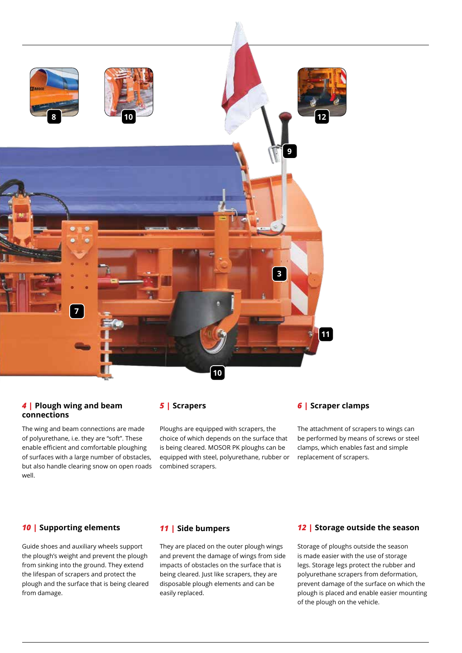

#### *4 |* **Plough wing and beam connections**

The wing and beam connections are made of polyurethane, i.e. they are "soft". These enable efficient and comfortable ploughing of surfaces with a large number of obstacles, but also handle clearing snow on open roads well.

Ploughs are equipped with scrapers, the choice of which depends on the surface that is being cleared. MOSOR PK ploughs can be equipped with steel, polyurethane, rubber or combined scrapers.

#### *5 |* **Scrapers** *6 |* **Scraper clamps**

The attachment of scrapers to wings can be performed by means of screws or steel clamps, which enables fast and simple replacement of scrapers.

Guide shoes and auxiliary wheels support the plough's weight and prevent the plough from sinking into the ground. They extend the lifespan of scrapers and protect the plough and the surface that is being cleared from damage.

They are placed on the outer plough wings and prevent the damage of wings from side impacts of obstacles on the surface that is being cleared. Just like scrapers, they are disposable plough elements and can be easily replaced.

#### *10 |* **Supporting elements** *11 |* **Side bumpers** *12 |* **Storage outside the season**

Storage of ploughs outside the season is made easier with the use of storage legs. Storage legs protect the rubber and polyurethane scrapers from deformation, prevent damage of the surface on which the plough is placed and enable easier mounting of the plough on the vehicle.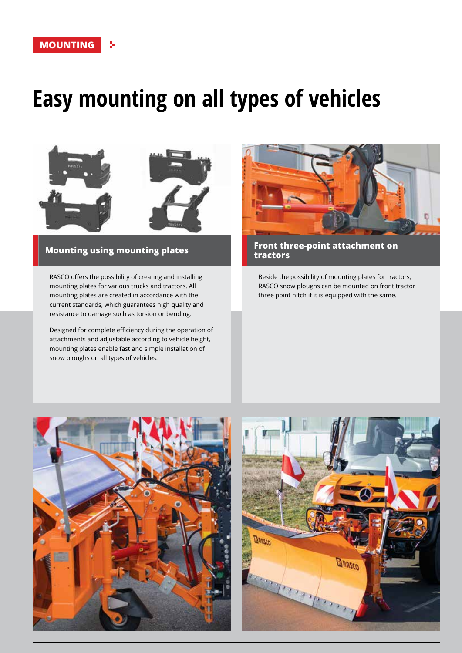## **Easy mounting on all types of vehicles**



## **Mounting using mounting plates**

RASCO offers the possibility of creating and installing mounting plates for various trucks and tractors. All mounting plates are created in accordance with the current standards, which guarantees high quality and resistance to damage such as torsion or bending.

Designed for complete efficiency during the operation of attachments and adjustable according to vehicle height, mounting plates enable fast and simple installation of snow ploughs on all types of vehicles.



**Front three-point attachment on tractors** 

Beside the possibility of mounting plates for tractors, RASCO snow ploughs can be mounted on front tractor three point hitch if it is equipped with the same.



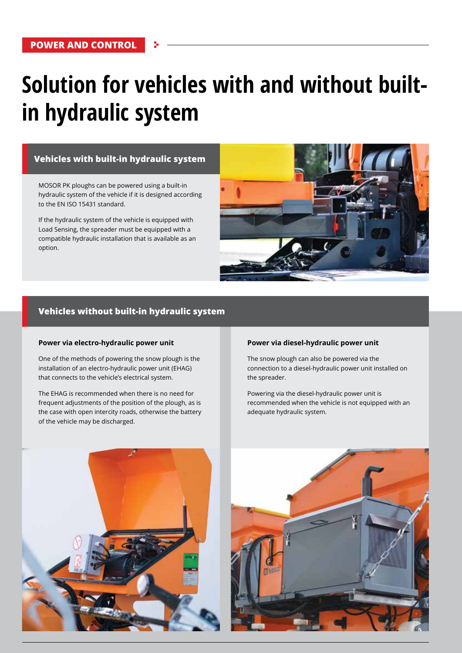## **Solution for vehicles with and without builtin hydraulic system**

## **Vehicles with built-in hydraulic system**

MOSOR PK ploughs can be powered using a built-in hydraulic system of the vehicle if it is designed according to the EN ISO 15431 standard.

If the hydraulic system of the vehicle is equipped with Load Sensing, the spreader must be equipped with a compatible hydraulic installation that is available as an option.



#### **Vehicles without built-in hydraulic system**

#### **Power via electro-hydraulic power unit**

One of the methods of powering the snow plough is the installation of an electro-hydraulic power unit (EHAG) that connects to the vehicle's electrical system.

The EHAG is recommended when there is no need for frequent adjustments of the position of the plough, as is the case with open intercity roads, otherwise the battery of the vehicle may be discharged.

#### **Power via diesel-hydraulic power unit**

The snow plough can also be powered via the connection to a diesel-hydraulic power unit installed on the spreader.

Powering via the diesel-hydraulic power unit is recommended when the vehicle is not equipped with an adequate hydraulic system.